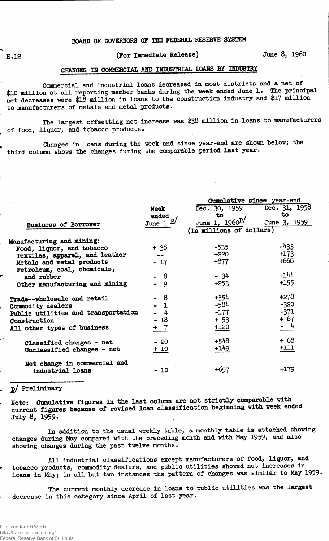## **2.12 (For Immediate Release) June 8, i960**

### **CHANGES IN COMMERCIAL AND INDUSTRIAL LOANS BY INDUSTRY**

**Commercial and industrial loans decreased in most districts and a net of \$10 million at ml 1 reporting member "banks during the week ended June 1. The principal net decreases were \$18 million in loans to the construction industry and \$17 million to manufacturers of metals and metal products.**

**The largest offsetting net increase was \$38 million in loans to manufacturers of food, liquor, and tobacco products.**

**Changes in loans during the week and since year-end are shown below; the third column shows the changes during the comparable period last year.**

|                                     |                        | Cumulative since year-end |               |  |  |  |  |
|-------------------------------------|------------------------|---------------------------|---------------|--|--|--|--|
|                                     | <b>Week</b>            | Dec. 30, 1959             | Dec. 31, 1958 |  |  |  |  |
|                                     | ended                  | to                        | to            |  |  |  |  |
| <b>Business of Borrower</b>         | June $1^{\mathcal{D}}$ | June 1, 1960 <sup>D</sup> | June 3, 1959  |  |  |  |  |
|                                     |                        | (In millions of dollars)  |               |  |  |  |  |
| Manufacturing and mining:           |                        |                           |               |  |  |  |  |
| Food, liquor, and tobacco           | $+38$                  | $-535$                    | $-433$        |  |  |  |  |
| Textiles, apparel, and leather      |                        | $+220$                    | $+173$        |  |  |  |  |
| Metals and metal products           | $-17$                  | $+877$                    | $+668$        |  |  |  |  |
| Petroleum, coal, chemicals,         |                        |                           |               |  |  |  |  |
| and rubber                          | - 8                    | - 34                      | $-144$        |  |  |  |  |
| Other manufacturing and mining      | $-9$                   | $+253$                    | +155          |  |  |  |  |
| Trade--wholesale and retail         | - 8                    | $+354$                    | $+278$        |  |  |  |  |
| Commodity dealers                   | - 1                    | $-584$                    | $-320$        |  |  |  |  |
| Public utilities and transportation | - 4                    | $-177$                    | $-371$        |  |  |  |  |
| Construction                        | $-18$                  | $+ 53$                    | $+67$         |  |  |  |  |
| All other types of business         | + 7                    | +120                      | $-4$          |  |  |  |  |
| Classified changes - net            | $-20$                  | +548                      | $+68$         |  |  |  |  |
| Unclassified changes - net          | $+10$                  | $+149$                    | $+111$        |  |  |  |  |
| Net change in commercial and        |                        |                           |               |  |  |  |  |
| industrial loans                    | - 10                   | +697                      | +179          |  |  |  |  |

#### **jo/ Preliminary**

**Note: Cumulative figures in the last column are not strictly comparable yith current figures because of revised loan classification beginning with week ended July 8, 1959.**

**In addition to the usual weekly table, a monthly table is attached showing changes** during May compared with the preceding month and with May 1959, and also **showing changes during the past twelve months.**

**All industrial classifications except manufacturers of food, liquor, and tobacco products, commodity dealers, and public utilities showed net increases in loans in May; in all but two instances the pattern of changes was similar to May 1959 •**

**The current monthly decrease in loans to public utilities was the largest decrease in this category since April of last year.**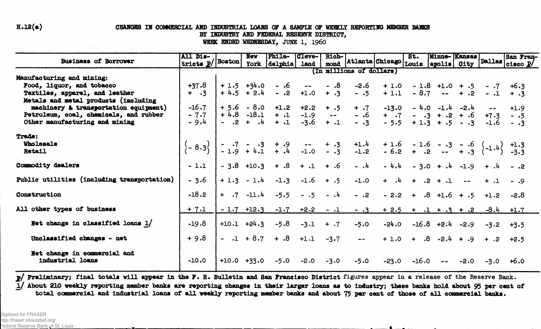#### $H.12(a)$

 $\chi_2<\chi_1$ 

#### CHANGES IN COMMERCIAL AND INDUSTRIAL LOANS OF A SAMPLE OF WEEKLY REPORTING MEMBER BANKS BY INDUSTRY AND FEDERAL RESERVE DISTRICT,

WEEK ENDED WEDNESDAY, JUNE 1, 1960

|                                                  | All Dis-                                                                                                                                                                 |               | <b>Nev</b>     | Phila-                                                | Cleve-        | Rich-         |                                                                                                                                                                                                                                                                                                                                                                 |                                        | st.     | Minne-Kansas                              |               |              | San Fran-       |
|--------------------------------------------------|--------------------------------------------------------------------------------------------------------------------------------------------------------------------------|---------------|----------------|-------------------------------------------------------|---------------|---------------|-----------------------------------------------------------------------------------------------------------------------------------------------------------------------------------------------------------------------------------------------------------------------------------------------------------------------------------------------------------------|----------------------------------------|---------|-------------------------------------------|---------------|--------------|-----------------|
| Business of Borrower                             | tricts $P$ /                                                                                                                                                             | <b>Boston</b> |                | York delphia                                          | <b>land</b>   |               |                                                                                                                                                                                                                                                                                                                                                                 | mond Atlanta Chicago Louis apolis City |         |                                           |               |              | Dallas cisco P/ |
|                                                  |                                                                                                                                                                          |               |                |                                                       |               |               | (In millions of dollars)                                                                                                                                                                                                                                                                                                                                        |                                        |         |                                           |               |              |                 |
| Manufacturing and mining:                        |                                                                                                                                                                          |               |                |                                                       |               |               |                                                                                                                                                                                                                                                                                                                                                                 |                                        |         |                                           |               |              |                 |
| Food, liquor, and tobacco                        | $+37.8$                                                                                                                                                                  |               | $+1.5 +34.0$   |                                                       | $-.6 -$       | $- 0.8$       | $-2.6$                                                                                                                                                                                                                                                                                                                                                          |                                        |         | $+1.0 - 1.8 + 1.0 + .5 - .7 + 6.3$        |               |              |                 |
| Textiles, apparel, and leather                   | $+$ $\cdot$ 3                                                                                                                                                            |               | $+4.5 + 2.4$   |                                                       | $-.2 + 1.0$   | $+ .3$        | $- .5$                                                                                                                                                                                                                                                                                                                                                          | $+1.1$                                 |         | $-8.7$ - + .2                             |               | $-.1 + .3$   |                 |
| Metals and metal products (including             |                                                                                                                                                                          |               |                |                                                       |               |               |                                                                                                                                                                                                                                                                                                                                                                 |                                        |         |                                           |               |              |                 |
| machinery & transportation equipment)            | $-16.7$                                                                                                                                                                  |               |                | $+5.6 - 8.0 + 1.2 + 2.2 + .5$                         |               |               | $+$ $\cdot 7$                                                                                                                                                                                                                                                                                                                                                   | $-13.0$                                |         | $-4.0$ $-1.4$ $-2.4$ $-$                  |               |              | $+1.9$          |
| Petroleum, coal, chemicals, and rubber           | $-7.7$                                                                                                                                                                   |               |                | $+4.8$ -18.1 + .1 -1.9 --<br>- .2 + .4 + .1 -3.6 + .1 |               |               | $-.6$                                                                                                                                                                                                                                                                                                                                                           | $+$ $\cdot 7$                          |         | $-3 + .2 + .6 + 7.3$                      |               |              | - .5            |
| Other manufacturing and mining                   | - 9.4                                                                                                                                                                    |               |                |                                                       |               |               | $- .3$                                                                                                                                                                                                                                                                                                                                                          | $-5.5$                                 |         | $+1.3 + .5 - .3$                          |               | -1.6         | $- 0.3$         |
| <b>Trade:</b>                                    |                                                                                                                                                                          |               |                |                                                       |               |               |                                                                                                                                                                                                                                                                                                                                                                 |                                        |         |                                           |               |              |                 |
| Wholesale                                        |                                                                                                                                                                          |               |                |                                                       |               |               |                                                                                                                                                                                                                                                                                                                                                                 |                                        |         |                                           |               |              |                 |
| Retail                                           | $\begin{pmatrix} -8.3 \\ -1.9 + 4.1 + 4 - 1.0 - 3 - 1.2 - 6.2 + 3 - 4.3 \\ -3.3 - 3.3 - 3.3 \end{pmatrix}$ + 1.9 + 4.1 + .4 -1.0 - 3 -1.2 - 6.2 + .2 -- + .3 (-1.4) -3.3 |               |                |                                                       |               |               |                                                                                                                                                                                                                                                                                                                                                                 |                                        |         |                                           |               |              |                 |
| Commodity dealers                                | $-1.1$                                                                                                                                                                   |               |                | $-3.8$ +10.3 + .8 + .1 + .6                           |               |               | $ \lambda$                                                                                                                                                                                                                                                                                                                                                      |                                        |         | $-4.4$ - 3.0 + .4 -1.9 + .4 - .2          |               |              |                 |
| Public utilities (including transportation)      | $-3.6$                                                                                                                                                                   |               | $+1.3 - 1.4$   | $-1.3$                                                | $-1.6$        | $+ 0.5$       | $-1.0$                                                                                                                                                                                                                                                                                                                                                          |                                        |         | $+$ $\cdot$ 4 $+$ $\cdot$ 2 $+$ $\cdot$ 1 | $\frac{1}{2}$ | $+$ $\Omega$ | $- .9$          |
| Construction                                     | $-18.2$                                                                                                                                                                  |               | $+ 0.7 -11.4$  |                                                       | $-5.5 - 5$    | $\frac{1}{4}$ | $-.2$                                                                                                                                                                                                                                                                                                                                                           |                                        |         | $-2.2 + .8 + 1.6 + .5 + 1.2$              |               |              | $-2.8$          |
| All other types of business                      | $+ 7.1$                                                                                                                                                                  |               | $-1.7$ $+12.3$ | $-1.7$                                                | $+2.2 - .1$   |               | $-0.3$                                                                                                                                                                                                                                                                                                                                                          |                                        |         | $+2.5 + .1 + .3 + .2$                     |               | $-8.4$       | $+1.7$          |
| Net change in classified loans $1/$              | $-19.8$                                                                                                                                                                  |               | $+10.1 +24.3$  | -5.8                                                  | $-3-1$ + $-7$ |               | $-5.0$                                                                                                                                                                                                                                                                                                                                                          |                                        |         | $-24.0$ $-16.8$ $+2.4$ $-2.9$             |               |              | $-3.2 + 3.5$    |
| Unclassified changes - net                       | $+9.8$                                                                                                                                                                   |               | $-1 + 8.7$     |                                                       | $+ .8 + .1$   | $-3.7$        | $\frac{1}{2} \sum_{i=1}^{n} \frac{1}{2} \sum_{j=1}^{n} \frac{1}{2} \sum_{j=1}^{n} \frac{1}{2} \sum_{j=1}^{n} \frac{1}{2} \sum_{j=1}^{n} \frac{1}{2} \sum_{j=1}^{n} \frac{1}{2} \sum_{j=1}^{n} \frac{1}{2} \sum_{j=1}^{n} \frac{1}{2} \sum_{j=1}^{n} \frac{1}{2} \sum_{j=1}^{n} \frac{1}{2} \sum_{j=1}^{n} \frac{1}{2} \sum_{j=1}^{n} \frac{1}{2} \sum_{j=1}^{n$ |                                        |         | $+1.0 + 0.4 + 0.2 + 0.1 +$                |               |              | $+2.5$          |
| Net change in commercial and<br>industrial loans | $-10.0$                                                                                                                                                                  | $+10.0 +33.0$ |                | $-5.0$                                                | $-2.0$        | $-3.0$        | $-5.0$                                                                                                                                                                                                                                                                                                                                                          | $-23.0$                                | $-16.0$ | $\frac{1}{2}$ and $\frac{1}{2}$           | $-2.0$        | $-3.0$       | $+6.0$          |

p/ Preliminary; final totals will appear in the F. R. Bulletin and San Francisco District figures appear in a release of the Reserve Bank. 1/ About 210 weekly reporting member banks are reporting changes in their larger loans as to industry; these banks hold about 95 per cent of total commercial and industrial loans of all weekly reporting member banks and about 75 per cent of those of all commercial banks.